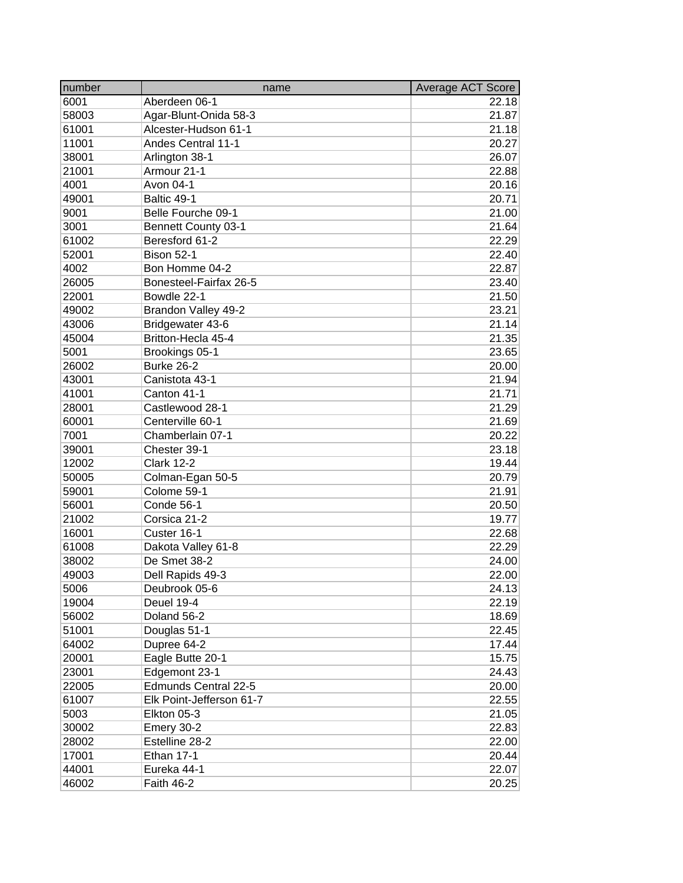| number | name                       | Average ACT Score |
|--------|----------------------------|-------------------|
| 6001   | Aberdeen 06-1              | 22.18             |
| 58003  | Agar-Blunt-Onida 58-3      | 21.87             |
| 61001  | Alcester-Hudson 61-1       | 21.18             |
| 11001  | <b>Andes Central 11-1</b>  | 20.27             |
| 38001  | Arlington 38-1             | 26.07             |
| 21001  | Armour 21-1                | 22.88             |
| 4001   | Avon 04-1                  | 20.16             |
| 49001  | Baltic 49-1                | 20.71             |
| 9001   | Belle Fourche 09-1         | 21.00             |
| 3001   | <b>Bennett County 03-1</b> | 21.64             |
| 61002  | Beresford 61-2             | 22.29             |
| 52001  | Bison 52-1                 | 22.40             |
| 4002   | Bon Homme 04-2             | 22.87             |
| 26005  | Bonesteel-Fairfax 26-5     | 23.40             |
| 22001  | Bowdle 22-1                | 21.50             |
| 49002  | Brandon Valley 49-2        | 23.21             |
| 43006  | Bridgewater 43-6           | 21.14             |
| 45004  | Britton-Hecla 45-4         | 21.35             |
| 5001   | Brookings 05-1             | 23.65             |
| 26002  | <b>Burke 26-2</b>          |                   |
|        | Canistota 43-1             | 20.00<br>21.94    |
| 43001  | Canton 41-1                | 21.71             |
| 41001  |                            |                   |
| 28001  | Castlewood 28-1            | 21.29             |
| 60001  | Centerville 60-1           | 21.69             |
| 7001   | Chamberlain 07-1           | 20.22             |
| 39001  | Chester 39-1               | 23.18             |
| 12002  | <b>Clark 12-2</b>          | 19.44             |
| 50005  | Colman-Egan 50-5           | 20.79             |
| 59001  | Colome 59-1                | 21.91             |
| 56001  | Conde 56-1                 | 20.50             |
| 21002  | Corsica 21-2               | 19.77             |
| 16001  | Custer 16-1                | 22.68             |
| 61008  | Dakota Valley 61-8         | 22.29             |
| 38002  | De Smet 38-2               | 24.00             |
| 49003  | Dell Rapids 49-3           | 22.00             |
| 5006   | Deubrook 05-6              | 24.13             |
| 19004  | Deuel 19-4                 | 22.19             |
| 56002  | Doland 56-2                | 18.69             |
| 51001  | Douglas 51-1               | 22.45             |
| 64002  | Dupree 64-2                | 17.44             |
| 20001  | Eagle Butte 20-1           | 15.75             |
| 23001  | Edgemont 23-1              | 24.43             |
| 22005  | Edmunds Central 22-5       | 20.00             |
| 61007  | Elk Point-Jefferson 61-7   | 22.55             |
| 5003   | Elkton 05-3                | 21.05             |
| 30002  | Emery 30-2                 | 22.83             |
| 28002  | Estelline 28-2             | 22.00             |
| 17001  | Ethan 17-1                 | 20.44             |
| 44001  | Eureka 44-1                | 22.07             |
| 46002  | Faith 46-2                 | 20.25             |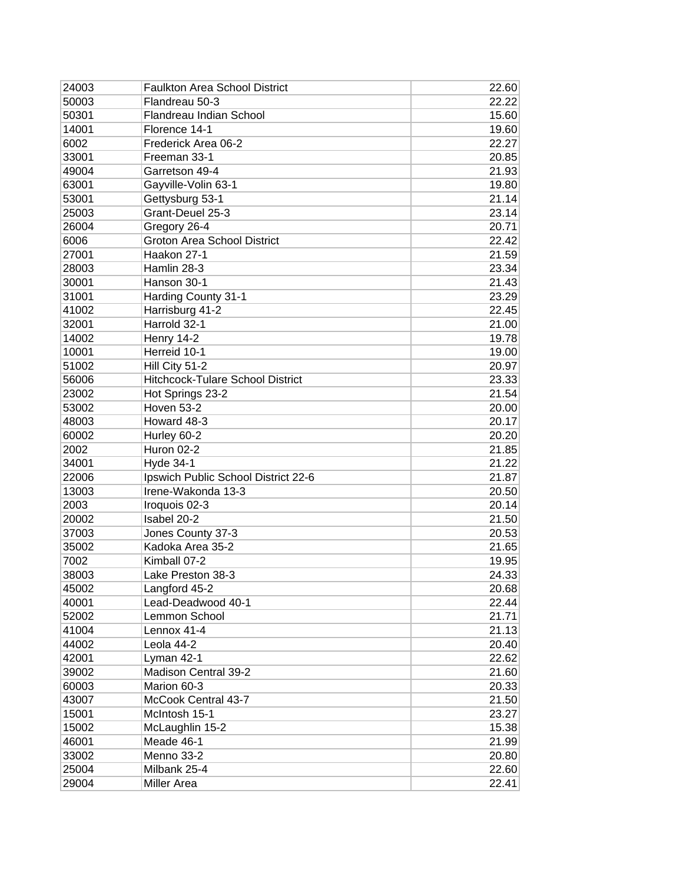| 24003 | <b>Faulkton Area School District</b>    | 22.60          |
|-------|-----------------------------------------|----------------|
| 50003 | Flandreau 50-3                          | 22.22          |
| 50301 | Flandreau Indian School                 | 15.60          |
| 14001 | Florence 14-1                           | 19.60          |
| 6002  | Frederick Area 06-2                     | 22.27          |
| 33001 | Freeman 33-1                            | 20.85          |
| 49004 | Garretson 49-4                          | 21.93          |
| 63001 | Gayville-Volin 63-1                     | 19.80          |
| 53001 | Gettysburg 53-1                         | 21.14          |
| 25003 | Grant-Deuel 25-3                        | 23.14          |
| 26004 | Gregory 26-4                            | 20.71          |
| 6006  | <b>Groton Area School District</b>      | 22.42          |
| 27001 | Haakon 27-1                             | 21.59          |
| 28003 | Hamlin 28-3                             | 23.34          |
| 30001 | Hanson 30-1                             | 21.43          |
| 31001 | Harding County 31-1                     | 23.29          |
| 41002 | Harrisburg 41-2                         | 22.45          |
| 32001 | Harrold 32-1                            |                |
| 14002 |                                         | 21.00<br>19.78 |
|       | Henry 14-2                              |                |
| 10001 | Herreid 10-1                            | 19.00          |
| 51002 | Hill City 51-2                          | 20.97          |
| 56006 | <b>Hitchcock-Tulare School District</b> | 23.33          |
| 23002 | Hot Springs 23-2                        | 21.54          |
| 53002 | Hoven 53-2                              | 20.00          |
| 48003 | Howard 48-3                             | 20.17          |
| 60002 | Hurley 60-2                             | 20.20          |
| 2002  | Huron 02-2                              | 21.85          |
| 34001 | <b>Hyde 34-1</b>                        | 21.22          |
| 22006 | Ipswich Public School District 22-6     | 21.87          |
| 13003 | Irene-Wakonda 13-3                      | 20.50          |
| 2003  | Iroquois 02-3                           | 20.14          |
| 20002 | Isabel 20-2                             | 21.50          |
| 37003 | Jones County 37-3                       | 20.53          |
| 35002 | Kadoka Area 35-2                        | 21.65          |
| 7002  | Kimball 07-2                            | 19.95          |
| 38003 | Lake Preston 38-3                       | 24.33          |
| 45002 | Langford 45-2                           | 20.68          |
| 40001 | Lead-Deadwood 40-1                      | 22.44          |
| 52002 | Lemmon School                           | 21.71          |
| 41004 | Lennox 41-4                             | 21.13          |
| 44002 | Leola 44-2                              | 20.40          |
| 42001 | Lyman 42-1                              | 22.62          |
| 39002 | Madison Central 39-2                    | 21.60          |
| 60003 | Marion 60-3                             | 20.33          |
| 43007 | McCook Central 43-7                     | 21.50          |
| 15001 | McIntosh 15-1                           | 23.27          |
| 15002 | McLaughlin 15-2                         | 15.38          |
| 46001 | Meade 46-1                              | 21.99          |
| 33002 | Menno 33-2                              | 20.80          |
| 25004 | Milbank 25-4                            | 22.60          |
| 29004 | <b>Miller Area</b>                      | 22.41          |
|       |                                         |                |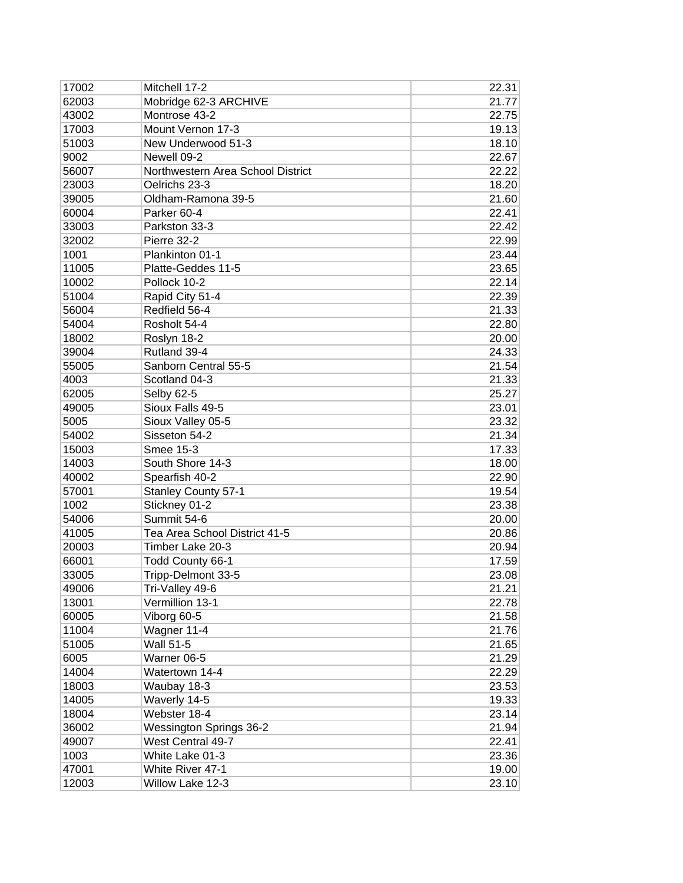| 17002 | Mitchell 17-2                     | 22.31 |
|-------|-----------------------------------|-------|
| 62003 | Mobridge 62-3 ARCHIVE             | 21.77 |
| 43002 | Montrose 43-2                     | 22.75 |
| 17003 | Mount Vernon 17-3                 | 19.13 |
| 51003 | New Underwood 51-3                | 18.10 |
| 9002  | Newell 09-2                       | 22.67 |
| 56007 | Northwestern Area School District | 22.22 |
| 23003 | Oelrichs 23-3                     | 18.20 |
| 39005 | Oldham-Ramona 39-5                | 21.60 |
| 60004 | Parker 60-4                       | 22.41 |
| 33003 | Parkston 33-3                     | 22.42 |
| 32002 | Pierre 32-2                       | 22.99 |
| 1001  | Plankinton 01-1                   | 23.44 |
| 11005 | Platte-Geddes 11-5                | 23.65 |
| 10002 | Pollock 10-2                      | 22.14 |
| 51004 | Rapid City 51-4                   | 22.39 |
| 56004 | Redfield 56-4                     | 21.33 |
| 54004 | Rosholt 54-4                      | 22.80 |
| 18002 | Roslyn 18-2                       | 20.00 |
| 39004 | Rutland 39-4                      | 24.33 |
| 55005 | Sanborn Central 55-5              | 21.54 |
| 4003  | Scotland 04-3                     | 21.33 |
| 62005 | Selby 62-5                        | 25.27 |
| 49005 | Sioux Falls 49-5                  | 23.01 |
| 5005  | Sioux Valley 05-5                 | 23.32 |
| 54002 | Sisseton 54-2                     | 21.34 |
| 15003 | Smee 15-3                         | 17.33 |
| 14003 | South Shore 14-3                  | 18.00 |
| 40002 | Spearfish 40-2                    | 22.90 |
| 57001 | <b>Stanley County 57-1</b>        | 19.54 |
| 1002  | Stickney 01-2                     | 23.38 |
| 54006 | Summit 54-6                       | 20.00 |
| 41005 | Tea Area School District 41-5     | 20.86 |
| 20003 | Timber Lake 20-3                  | 20.94 |
| 66001 | Todd County 66-1                  | 17.59 |
| 33005 | Tripp-Delmont 33-5                | 23.08 |
| 49006 | Tri-Valley 49-6                   | 21.21 |
| 13001 | Vermillion 13-1                   | 22.78 |
| 60005 | Viborg 60-5                       | 21.58 |
| 11004 | Wagner 11-4                       | 21.76 |
| 51005 | <b>Wall 51-5</b>                  | 21.65 |
| 6005  | Warner 06-5                       | 21.29 |
| 14004 | Watertown 14-4                    | 22.29 |
| 18003 | Waubay 18-3                       | 23.53 |
| 14005 | Waverly 14-5                      | 19.33 |
| 18004 | Webster 18-4                      | 23.14 |
| 36002 | <b>Wessington Springs 36-2</b>    | 21.94 |
| 49007 | West Central 49-7                 | 22.41 |
| 1003  | White Lake 01-3                   | 23.36 |
| 47001 | White River 47-1                  | 19.00 |
| 12003 | Willow Lake 12-3                  | 23.10 |